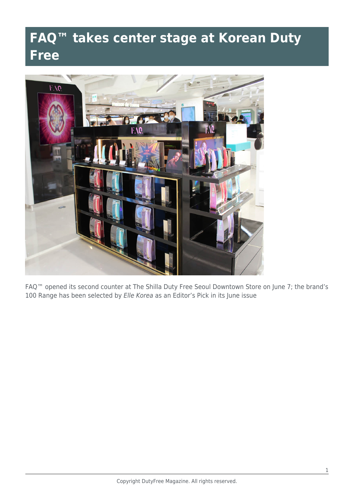## **FAQ™ takes center stage at Korean Duty Free**



FAQ™ opened its second counter at The Shilla Duty Free Seoul Downtown Store on June 7; the brand's 100 Range has been selected by Elle Korea as an Editor's Pick in its June issue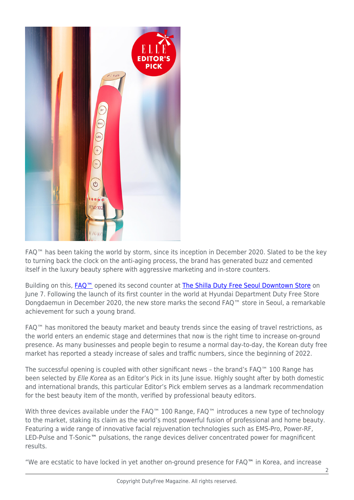

FAQ™ has been taking the world by storm, since its inception in December 2020. Slated to be the key to turning back the clock on the anti-aging process, the brand has generated buzz and cemented itself in the luxury beauty sphere with aggressive marketing and in-store counters.

Building on this, FAQ<sup>™</sup> opened its second counter at [The Shilla Duty Free Seoul Downtown Store](https://www.shilladfs.com/comm/kr/en/storeMain?org_cd=01) on June 7. Following the launch of its first counter in the world at Hyundai Department Duty Free Store Dongdaemun in December 2020, the new store marks the second FAQ™ store in Seoul, a remarkable achievement for such a young brand.

FAQ™ has monitored the beauty market and beauty trends since the easing of travel restrictions, as the world enters an endemic stage and determines that now is the right time to increase on-ground presence. As many businesses and people begin to resume a normal day-to-day, the Korean duty free market has reported a steady increase of sales and traffic numbers, since the beginning of 2022.

The successful opening is coupled with other significant news – the brand's FAQ™ 100 Range has been selected by Elle Korea as an Editor's Pick in its June issue. Highly sought after by both domestic and international brands, this particular Editor's Pick emblem serves as a landmark recommendation for the best beauty item of the month, verified by professional beauty editors.

With three devices available under the FAQ<sup>™</sup> 100 Range, FAQ™ introduces a new type of technology to the market, staking its claim as the world's most powerful fusion of professional and home beauty. Featuring a wide range of innovative facial rejuvenation technologies such as EMS-Pro, Power-RF, LED-Pulse and T-Sonic**™** pulsations, the range devices deliver concentrated power for magnificent results.

"We are ecstatic to have locked in yet another on-ground presence for FAQ**™** in Korea, and increase